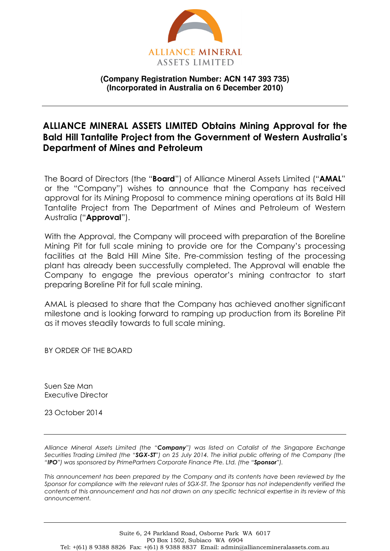

## **(Company Registration Number: ACN 147 393 735) (Incorporated in Australia on 6 December 2010)**

## **ALLIANCE MINERAL ASSETS LIMITED Obtains Mining Approval for the Bald Hill Tantalite Project from the Government of Western Australia's Department of Mines and Petroleum**

The Board of Directors (the "**Board**") of Alliance Mineral Assets Limited ("**AMAL**" or the "Company") wishes to announce that the Company has received approval for its Mining Proposal to commence mining operations at its Bald Hill Tantalite Project from The Department of Mines and Petroleum of Western Australia ("**Approval**").

With the Approval, the Company will proceed with preparation of the Boreline Mining Pit for full scale mining to provide ore for the Company's processing facilities at the Bald Hill Mine Site. Pre-commission testing of the processing plant has already been successfully completed. The Approval will enable the Company to engage the previous operator's mining contractor to start preparing Boreline Pit for full scale mining.

AMAL is pleased to share that the Company has achieved another significant milestone and is looking forward to ramping up production from its Boreline Pit as it moves steadily towards to full scale mining.

BY ORDER OF THE BOARD

Suen Sze Man Executive Director

23 October 2014

*Alliance Mineral Assets Limited (the "Company") was listed on Catalist of the Singapore Exchange Securities Trading Limited (the "SGX-ST") on 25 July 2014. The initial public offering of the Company (the "IPO") was sponsored by PrimePartners Corporate Finance Pte. Ltd. (the "Sponsor").* 

*This announcement has been prepared by the Company and its contents have been reviewed by the Sponsor for compliance with the relevant rules of SGX-ST. The Sponsor has not independently verified the contents of this announcement and has not drawn on any specific technical expertise in its review of this announcement.*